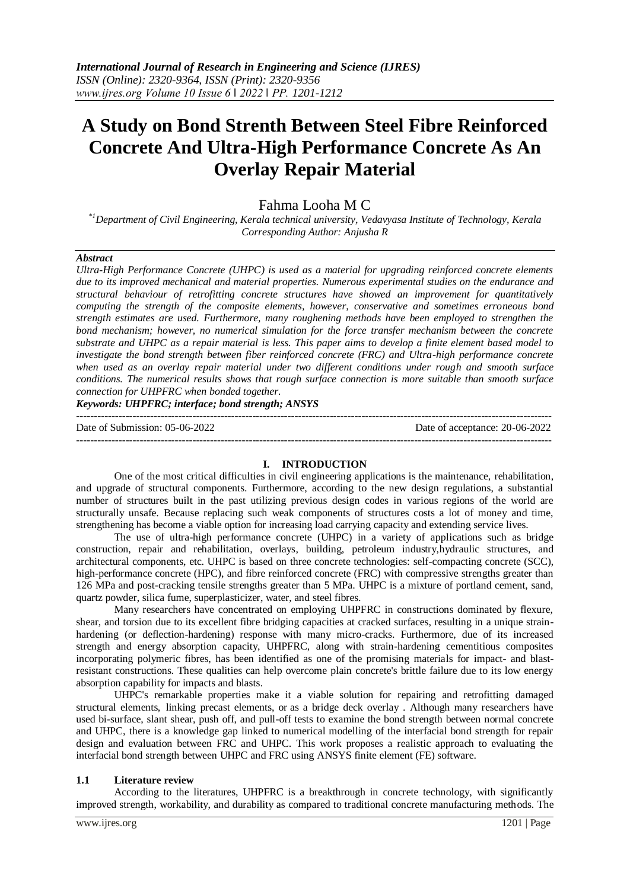# **A Study on Bond Strenth Between Steel Fibre Reinforced Concrete And Ultra-High Performance Concrete As An Overlay Repair Material**

## Fahma Looha M C

*\*1Department of Civil Engineering, Kerala technical university, Vedavyasa Institute of Technology, Kerala Corresponding Author: Anjusha R*

#### *Abstract*

*Ultra-High Performance Concrete (UHPC) is used as a material for upgrading reinforced concrete elements due to its improved mechanical and material properties. Numerous experimental studies on the endurance and structural behaviour of retrofitting concrete structures have showed an improvement for quantitatively computing the strength of the composite elements, however, conservative and sometimes erroneous bond strength estimates are used. Furthermore, many roughening methods have been employed to strengthen the bond mechanism; however, no numerical simulation for the force transfer mechanism between the concrete substrate and UHPC as a repair material is less. This paper aims to develop a finite element based model to investigate the bond strength between fiber reinforced concrete (FRC) and Ultra-high performance concrete when used as an overlay repair material under two different conditions under rough and smooth surface conditions. The numerical results shows that rough surface connection is more suitable than smooth surface connection for UHPFRC when bonded together.*

*Keywords: UHPFRC; interface; bond strength; ANSYS*

Date of Submission: 05-06-2022 Date of acceptance: 20-06-2022 ---------------------------------------------------------------------------------------------------------------------------------------

#### **I. INTRODUCTION**

---------------------------------------------------------------------------------------------------------------------------------------

One of the most critical difficulties in civil engineering applications is the maintenance, rehabilitation, and upgrade of structural components. Furthermore, according to the new design regulations, a substantial number of structures built in the past utilizing previous design codes in various regions of the world are structurally unsafe. Because replacing such weak components of structures costs a lot of money and time, strengthening has become a viable option for increasing load carrying capacity and extending service lives.

The use of ultra-high performance concrete (UHPC) in a variety of applications such as bridge construction, repair and rehabilitation, overlays, building, petroleum industry,hydraulic structures, and architectural components, etc. UHPC is based on three concrete technologies: self-compacting concrete (SCC), high-performance concrete (HPC), and fibre reinforced concrete (FRC) with compressive strengths greater than 126 MPa and post-cracking tensile strengths greater than 5 MPa. UHPC is a mixture of portland cement, sand, quartz powder, silica fume, superplasticizer, water, and steel fibres.

Many researchers have concentrated on employing UHPFRC in constructions dominated by flexure, shear, and torsion due to its excellent fibre bridging capacities at cracked surfaces, resulting in a unique strainhardening (or deflection-hardening) response with many micro-cracks. Furthermore, due of its increased strength and energy absorption capacity, UHPFRC, along with strain-hardening cementitious composites incorporating polymeric fibres, has been identified as one of the promising materials for impact- and blastresistant constructions. These qualities can help overcome plain concrete's brittle failure due to its low energy absorption capability for impacts and blasts.

UHPC's remarkable properties make it a viable solution for repairing and retrofitting damaged structural elements, linking precast elements, or as a bridge deck overlay . Although many researchers have used bi-surface, slant shear, push off, and pull-off tests to examine the bond strength between normal concrete and UHPC, there is a knowledge gap linked to numerical modelling of the interfacial bond strength for repair design and evaluation between FRC and UHPC. This work proposes a realistic approach to evaluating the interfacial bond strength between UHPC and FRC using ANSYS finite element (FE) software.

#### **1.1 Literature review**

According to the literatures, UHPFRC is a breakthrough in concrete technology, with significantly improved strength, workability, and durability as compared to traditional concrete manufacturing methods. The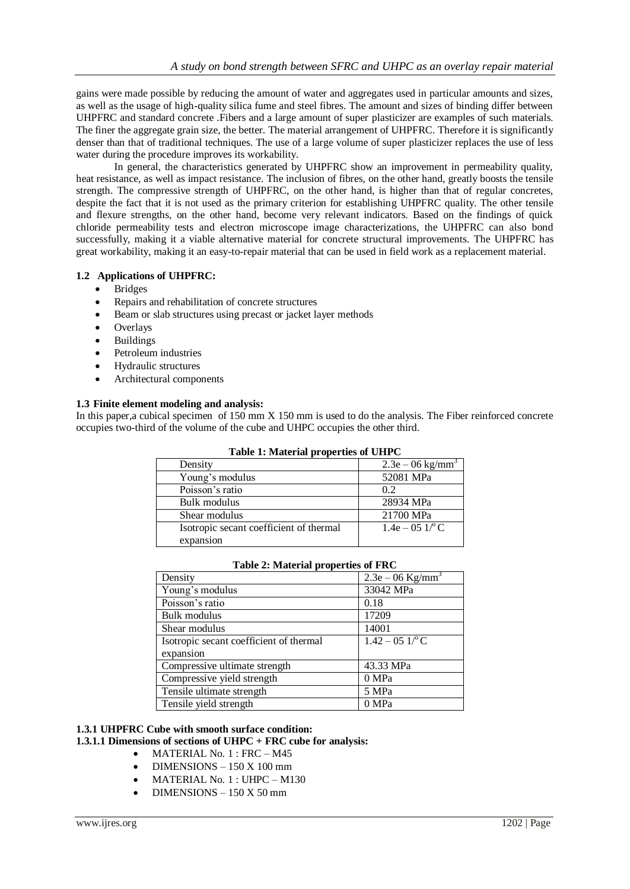gains were made possible by reducing the amount of water and aggregates used in particular amounts and sizes, as well as the usage of high-quality silica fume and steel fibres. The amount and sizes of binding differ between UHPFRC and standard concrete .Fibers and a large amount of super plasticizer are examples of such materials. The finer the aggregate grain size, the better. The material arrangement of UHPFRC. Therefore it is significantly denser than that of traditional techniques. The use of a large volume of super plasticizer replaces the use of less water during the procedure improves its workability.

In general, the characteristics generated by UHPFRC show an improvement in permeability quality, heat resistance, as well as impact resistance. The inclusion of fibres, on the other hand, greatly boosts the tensile strength. The compressive strength of UHPFRC, on the other hand, is higher than that of regular concretes, despite the fact that it is not used as the primary criterion for establishing UHPFRC quality. The other tensile and flexure strengths, on the other hand, become very relevant indicators. Based on the findings of quick chloride permeability tests and electron microscope image characterizations, the UHPFRC can also bond successfully, making it a viable alternative material for concrete structural improvements. The UHPFRC has great workability, making it an easy-to-repair material that can be used in field work as a replacement material.

### **1.2 Applications of UHPFRC:**

- Bridges
- Repairs and rehabilitation of concrete structures
- Beam or slab structures using precast or jacket layer methods
- Overlays
- Buildings
- Petroleum industries
- Hydraulic structures
- Architectural components

#### **1.3 Finite element modeling and analysis:**

In this paper,a cubical specimen of 150 mm X 150 mm is used to do the analysis. The Fiber reinforced concrete occupies two-third of the volume of the cube and UHPC occupies the other third.

**Table 1: Material properties of UHPC**

| Table 1. Material properties of OTH C   |                                |  |  |  |
|-----------------------------------------|--------------------------------|--|--|--|
| Density                                 | $2.3e - 06$ kg/mm <sup>3</sup> |  |  |  |
| Young's modulus                         | 52081 MPa                      |  |  |  |
| Poisson's ratio                         | 0.2                            |  |  |  |
| Bulk modulus                            | 28934 MPa                      |  |  |  |
| Shear modulus                           | 21700 MPa                      |  |  |  |
| Isotropic secant coefficient of thermal | $1.4e - 051$ <sup>o</sup> C    |  |  |  |
| expansion                               |                                |  |  |  |

#### **Table 2: Material properties of FRC**

| $1.000$ $\mu$ , $\mu$ $\mu$ $\mu$ $\mu$ $\sigma$ $\mu$ $\mu$ $\sigma$ $\sigma$ $\mu$ $\tau$ $\tau$ |                                |  |  |
|----------------------------------------------------------------------------------------------------|--------------------------------|--|--|
| Density                                                                                            | $2.3e - 06$ Kg/mm <sup>3</sup> |  |  |
| Young's modulus                                                                                    | 33042 MPa                      |  |  |
| Poisson's ratio                                                                                    | 0.18                           |  |  |
| Bulk modulus                                                                                       | 17209                          |  |  |
| Shear modulus                                                                                      | 14001                          |  |  |
| Isotropic secant coefficient of thermal                                                            | $1.42 - 05$ $1$ <sup>o</sup> C |  |  |
| expansion                                                                                          |                                |  |  |
| Compressive ultimate strength                                                                      | 43.33 MPa                      |  |  |
| Compressive yield strength                                                                         | 0 MPa                          |  |  |
| Tensile ultimate strength                                                                          | 5 MPa                          |  |  |
| Tensile yield strength                                                                             | 0 MPa                          |  |  |

#### **1.3.1 UHPFRC Cube with smooth surface condition:**

#### **1.3.1.1 Dimensions of sections of UHPC + FRC cube for analysis:**

- MATERIAL No. 1 : FRC M45
- DIMENSIONS 150 X 100 mm
- MATERIAL No. 1 : UHPC M130
- DIMENSIONS 150 X 50 mm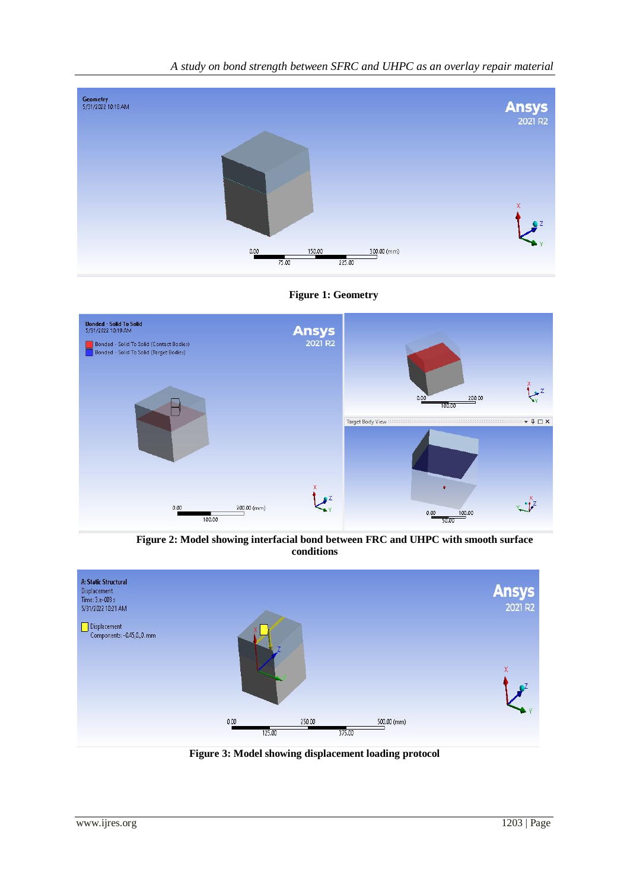







 **Figure 2: Model showing interfacial bond between FRC and UHPC with smooth surface conditions**



**Figure 3: Model showing displacement loading protocol**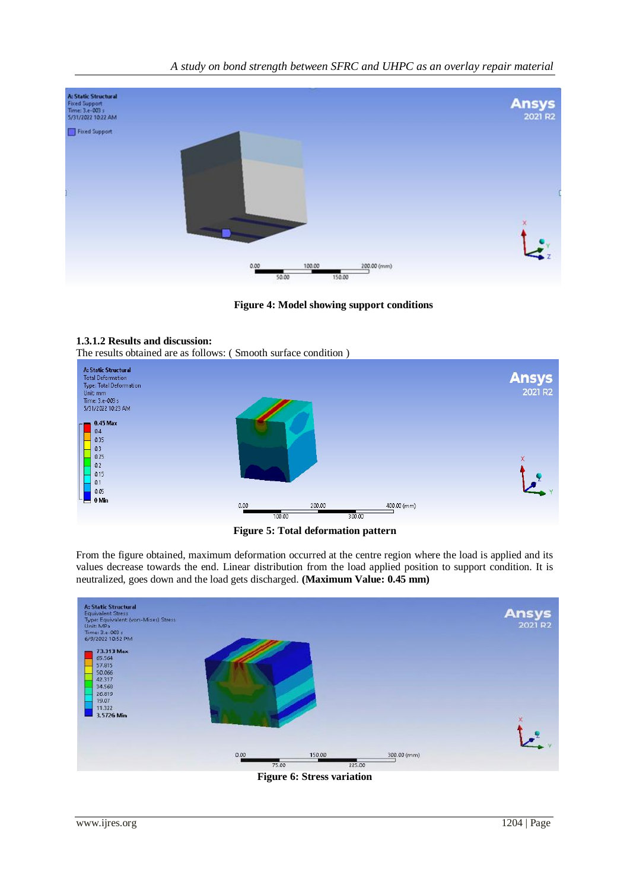*A study on bond strength between SFRC and UHPC as an overlay repair material*



**Figure 4: Model showing support conditions**

#### **1.3.1.2 Results and discussion:**

The results obtained are as follows: ( Smooth surface condition )



**Figure 5: Total deformation pattern**

From the figure obtained, maximum deformation occurred at the centre region where the load is applied and its values decrease towards the end. Linear distribution from the load applied position to support condition. It is neutralized, goes down and the load gets discharged. **(Maximum Value: 0.45 mm)**



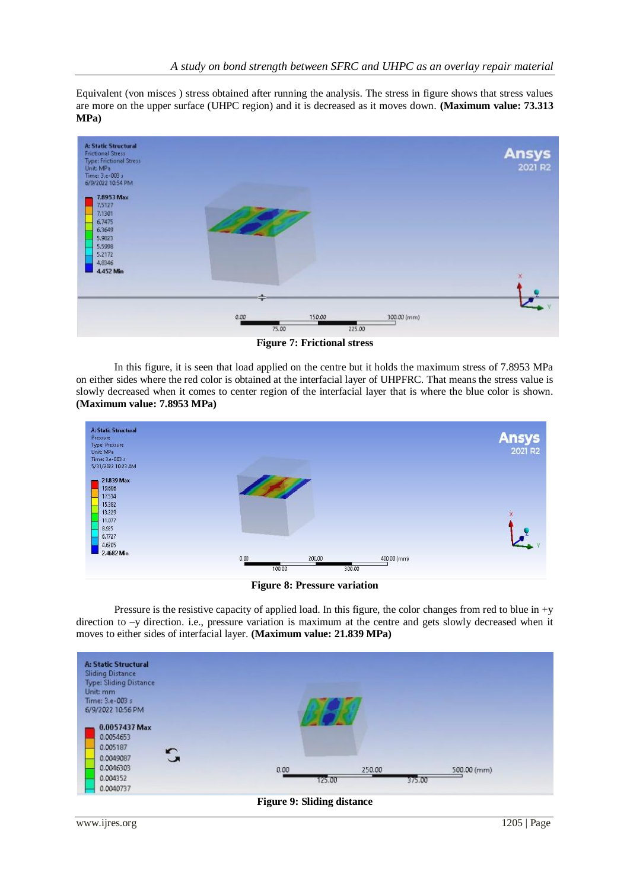Equivalent (von misces ) stress obtained after running the analysis. The stress in figure shows that stress values are more on the upper surface (UHPC region) and it is decreased as it moves down. **(Maximum value: 73.313 MPa)**



**Figure 7: Frictional stress**

In this figure, it is seen that load applied on the centre but it holds the maximum stress of 7.8953 MPa on either sides where the red color is obtained at the interfacial layer of UHPFRC. That means the stress value is slowly decreased when it comes to center region of the interfacial layer that is where the blue color is shown. **(Maximum value: 7.8953 MPa)**



**Figure 8: Pressure variation**

Pressure is the resistive capacity of applied load. In this figure, the color changes from red to blue in +y direction to –y direction. i.e., pressure variation is maximum at the centre and gets slowly decreased when it moves to either sides of interfacial layer. **(Maximum value: 21.839 MPa)**

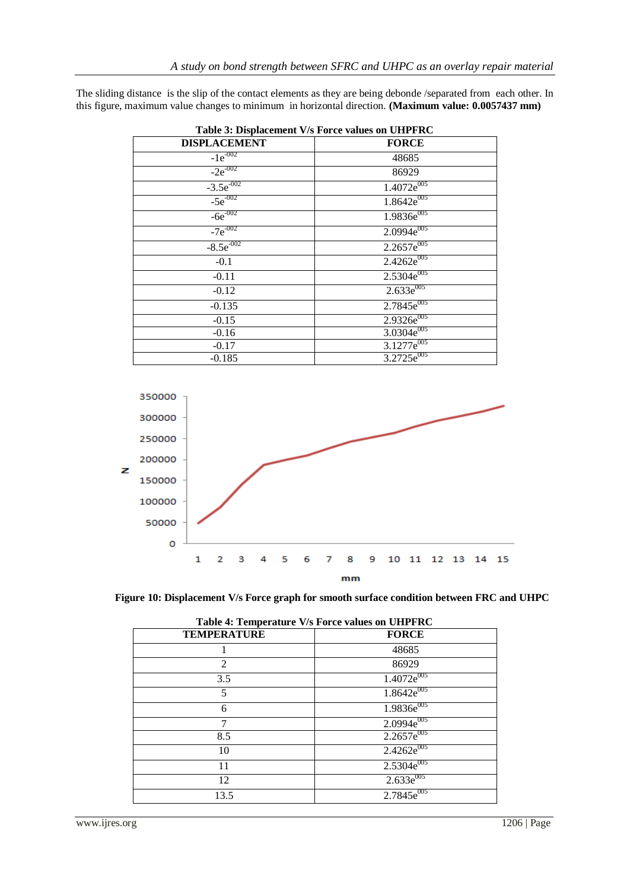The sliding distance is the slip of the contact elements as they are being debonde /separated from each other. In this figure, maximum value changes to minimum in horizontal direction. **(Maximum value: 0.0057437 mm)**

| Table 3: Displacement V/s Force values on UHPFRC |                        |  |  |
|--------------------------------------------------|------------------------|--|--|
| <b>DISPLACEMENT</b>                              | <b>FORCE</b>           |  |  |
| $-1e^{-002}$                                     | 48685                  |  |  |
| $-2e^{-002}$                                     | 86929                  |  |  |
| $-3.5e^{-002}$                                   | $1.4072e^{005}$        |  |  |
| $-5e^{-002}$                                     | $1.8642e^{005}$        |  |  |
| $-6e^{-002}$                                     | 1.9836e <sup>005</sup> |  |  |
| $-7e^{-002}$                                     | $2.0994e^{005}$        |  |  |
| $-8.5e^{-002}$                                   | $2.2657e^{005}$        |  |  |
| $-0.1$                                           | $2.4262e^{005}$        |  |  |
| $-0.11$                                          | $2.5304e^{005}$        |  |  |
| $-0.12$                                          | $2.633e^{005}$         |  |  |
| $-0.135$                                         | $2.7845e^{005}$        |  |  |
| $-0.15$                                          | 2.9326e <sup>005</sup> |  |  |
| $-0.16$                                          | 3.0304e <sup>005</sup> |  |  |
| $-0.17$                                          | $3.1277e^{005}$        |  |  |
| -0.185                                           | $3.2725e^{005}$        |  |  |





| Table 4: Temperature V/s Force values on UHPFRC |                            |  |  |
|-------------------------------------------------|----------------------------|--|--|
| <b>TEMPERATURE</b>                              | <b>FORCE</b>               |  |  |
|                                                 | 48685                      |  |  |
| 2                                               | 86929                      |  |  |
| 3.5                                             | $1.4072e^{005}$            |  |  |
| 5                                               | $1.8642e^{005}$            |  |  |
| 6                                               | $1.9836e^{005}$            |  |  |
| 7                                               | $2.0994e^{005}$            |  |  |
| 8.5                                             | $2.2657e^{005}$            |  |  |
| 10                                              | $2.4262e^{005}$            |  |  |
| 11                                              | $2.5\overline{304e^{005}}$ |  |  |
| 12                                              | $2.633e^{005}$             |  |  |
| 13.5                                            | $2.7845e^{005}$            |  |  |
|                                                 |                            |  |  |

|  | Table 4: Temperature V/s Force values on UHPFRC |  |  |  |
|--|-------------------------------------------------|--|--|--|
|  |                                                 |  |  |  |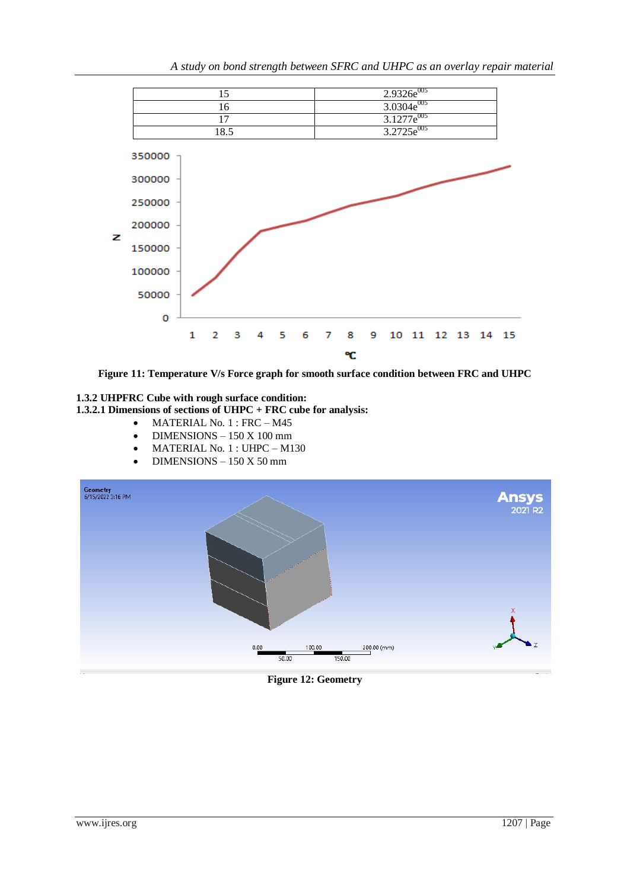



## **1.3.2 UHPFRC Cube with rough surface condition: 1.3.2.1 Dimensions of sections of UHPC + FRC cube for analysis:**

- MATERIAL No. 1 : FRC M45
- DIMENSIONS 150 X 100 mm
- MATERIAL No. 1 : UHPC M130
- DIMENSIONS 150 X 50 mm



## **Figure 12: Geometry**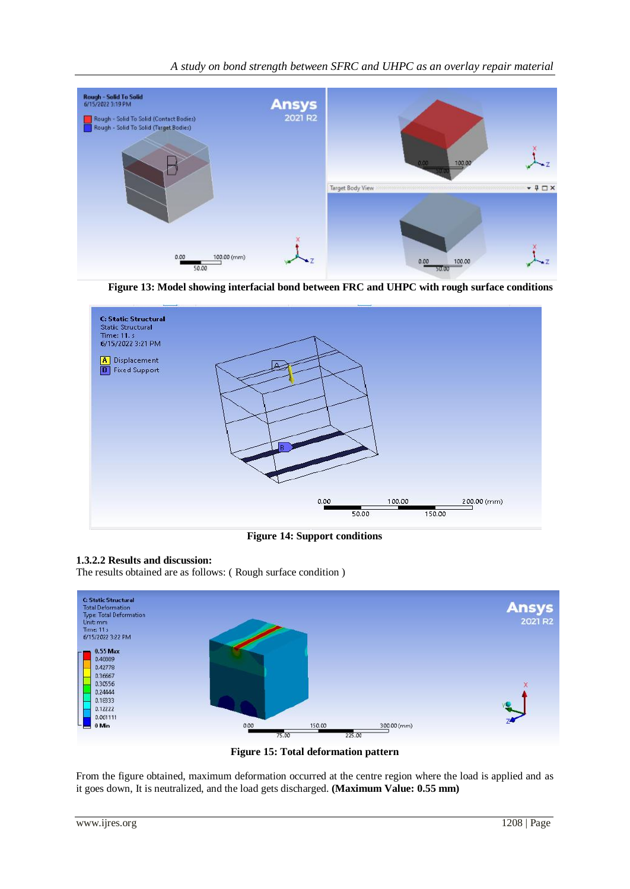

 **Figure 13: Model showing interfacial bond between FRC and UHPC with rough surface conditions**



**Figure 14: Support conditions**

## **1.3.2.2 Results and discussion:**

The results obtained are as follows: ( Rough surface condition )



**Figure 15: Total deformation pattern**

From the figure obtained, maximum deformation occurred at the centre region where the load is applied and as it goes down, It is neutralized, and the load gets discharged. **(Maximum Value: 0.55 mm)**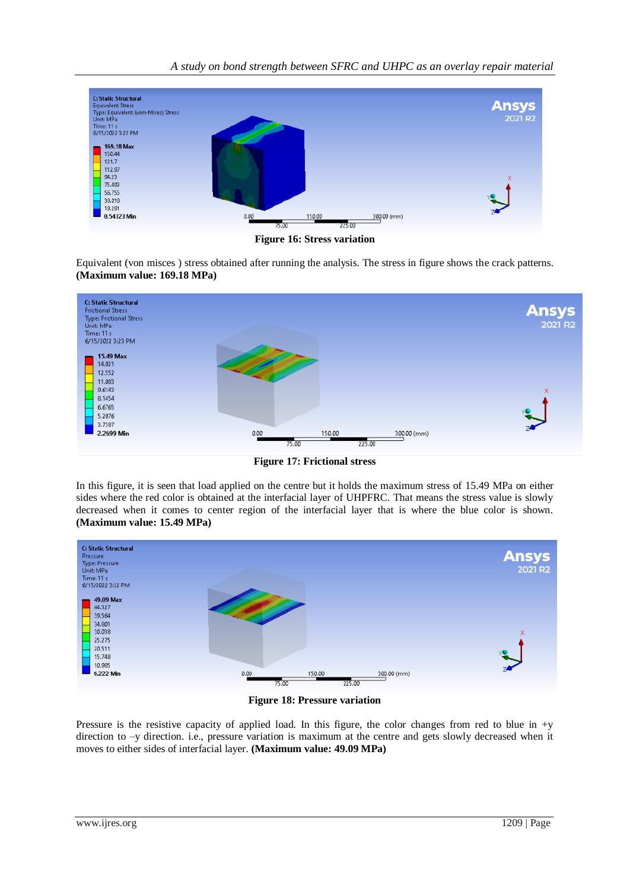*A study on bond strength between SFRC and UHPC as an overlay repair material*



**Figure 16: Stress variation**

Equivalent (von misces ) stress obtained after running the analysis. The stress in figure shows the crack patterns. **(Maximum value: 169.18 MPa)**



**Figure 17: Frictional stress**

In this figure, it is seen that load applied on the centre but it holds the maximum stress of 15.49 MPa on either sides where the red color is obtained at the interfacial layer of UHPFRC. That means the stress value is slowly decreased when it comes to center region of the interfacial layer that is where the blue color is shown. **(Maximum value: 15.49 MPa)**



**Figure 18: Pressure variation**

Pressure is the resistive capacity of applied load. In this figure, the color changes from red to blue in +y direction to –y direction. i.e., pressure variation is maximum at the centre and gets slowly decreased when it moves to either sides of interfacial layer. **(Maximum value: 49.09 MPa)**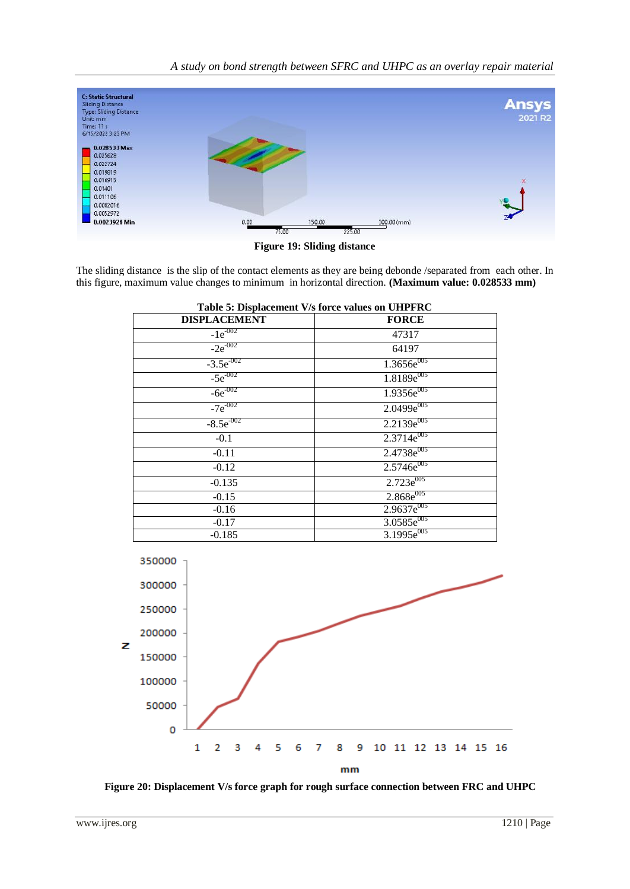*A study on bond strength between SFRC and UHPC as an overlay repair material*



**Figure 19: Sliding distance**

The sliding distance is the slip of the contact elements as they are being debonde /separated from each other. In this figure, maximum value changes to minimum in horizontal direction. **(Maximum value: 0.028533 mm)**

| Table 5: Displacement V/s force values on UHPFRC |                        |  |
|--------------------------------------------------|------------------------|--|
| <b>DISPLACEMENT</b>                              | <b>FORCE</b>           |  |
| $-1e^{-002}$                                     | 47317                  |  |
| $-2e^{-002}$                                     | 64197                  |  |
| $-3.5e^{-002}$                                   | $1.3656e^{005}$        |  |
| $-5e^{-002}$                                     | $1.8189e^{005}$        |  |
| $-6e^{-002}$                                     | 1.9356e <sup>005</sup> |  |
| $-7e^{-002}$                                     | $2.0499e^{005}$        |  |
| $-8.5e^{-002}$                                   | $2.2139e^{005}$        |  |
| $-0.1$                                           | $2.3714e^{005}$        |  |
| $-0.11$                                          | 2.4738e <sup>005</sup> |  |
| $-0.12$                                          | $2.5746e^{005}$        |  |
| $-0.135$                                         | $2.723e^{005}$         |  |
| $-0.15$                                          | $2.868e^{005}$         |  |
| $-0.16$                                          | 2.9637e <sup>005</sup> |  |
| $-0.17$                                          | 3.0585e <sup>005</sup> |  |
| $-0.185$                                         | 3.1995e <sup>005</sup> |  |



 **Figure 20: Displacement V/s force graph for rough surface connection between FRC and UHPC**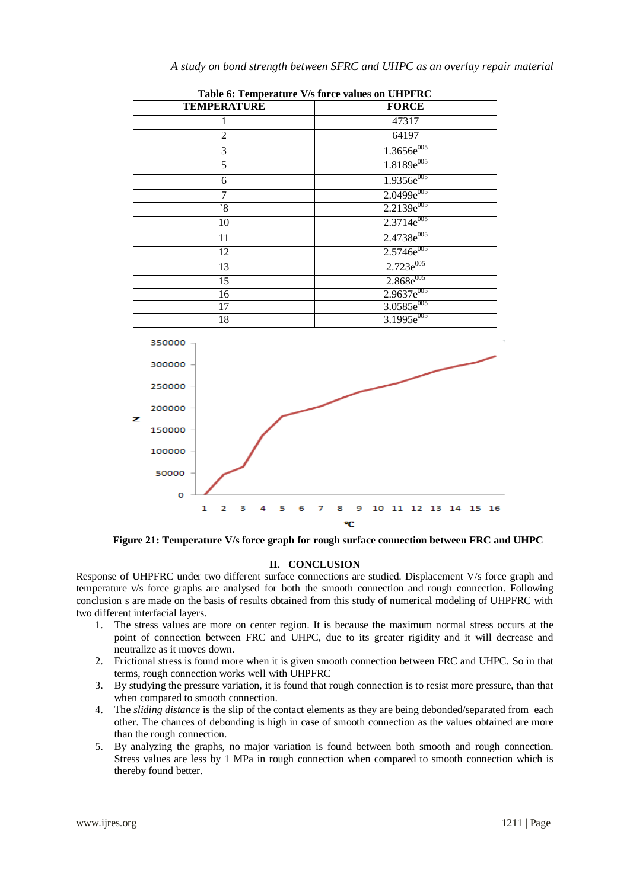| Table 6: Temperature V/s force values on UHPFRC |                            |  |
|-------------------------------------------------|----------------------------|--|
| <b>TEMPERATURE</b>                              | <b>FORCE</b>               |  |
| 1                                               | 47317                      |  |
| $\overline{2}$                                  | 64197                      |  |
| 3                                               | $1.\overline{3656e^{005}}$ |  |
| 5                                               | 1.8189e <sup>005</sup>     |  |
| 6                                               | $1.9356e^{005}$            |  |
| 7                                               | 2.0499e <sup>005</sup>     |  |
| $\mathbf{S}^{\prime}$                           | $2.2139e^{005}$            |  |
| 10                                              | $2.3714e^{005}$            |  |
| 11                                              | 2.4738e <sup>005</sup>     |  |
| 12                                              | 2.5746e <sup>005</sup>     |  |
| 13                                              | $2.723e^{005}$             |  |
| 15                                              | $2.868e^{005}$             |  |
| 16                                              | 2.9637e <sup>005</sup>     |  |
| 17                                              | 3.0585e <sup>005</sup>     |  |
| 18                                              | $3.1995e^{005}$            |  |





 **Figure 21: Temperature V/s force graph for rough surface connection between FRC and UHPC**

### **II. CONCLUSION**

Response of UHPFRC under two different surface connections are studied. Displacement V/s force graph and temperature v/s force graphs are analysed for both the smooth connection and rough connection. Following conclusion s are made on the basis of results obtained from this study of numerical modeling of UHPFRC with two different interfacial layers.

- 1. The stress values are more on center region. It is because the maximum normal stress occurs at the point of connection between FRC and UHPC, due to its greater rigidity and it will decrease and neutralize as it moves down.
- 2. Frictional stress is found more when it is given smooth connection between FRC and UHPC. So in that terms, rough connection works well with UHPFRC
- 3. By studying the pressure variation, it is found that rough connection is to resist more pressure, than that when compared to smooth connection.
- 4. The *sliding distance* is the slip of the contact elements as they are being debonded/separated from each other. The chances of debonding is high in case of smooth connection as the values obtained are more than the rough connection.
- 5. By analyzing the graphs, no major variation is found between both smooth and rough connection. Stress values are less by 1 MPa in rough connection when compared to smooth connection which is thereby found better.